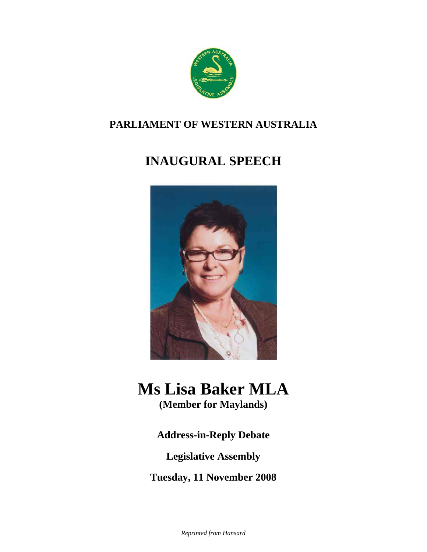

## **PARLIAMENT OF WESTERN AUSTRALIA**

## **INAUGURAL SPEECH**



# **Ms Lisa Baker MLA**

**(Member for Maylands)**

**Address-in-Reply Debate** 

**Legislative Assembly** 

**Tuesday, 11 November 2008**

*Reprinted from Hansard*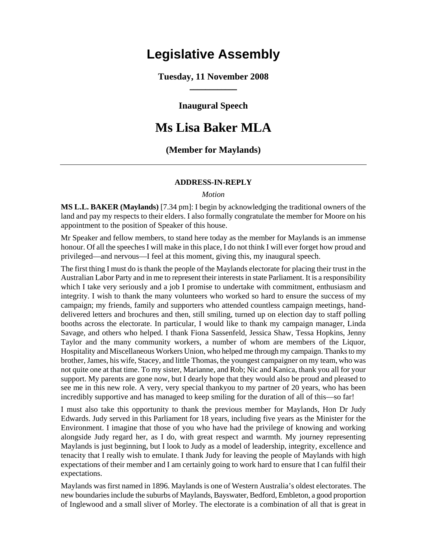## **Legislative Assembly**

**Tuesday, 11 November 2008**   $\overline{\phantom{a}}$ 

**Inaugural Speech** 

### **Ms Lisa Baker MLA**

#### **(Member for Maylands)**

#### **ADDRESS-IN-REPLY**

#### *Motion*

**MS L.L. BAKER (Maylands)** [7.34 pm]: I begin by acknowledging the traditional owners of the land and pay my respects to their elders. I also formally congratulate the member for Moore on his appointment to the position of Speaker of this house.

Mr Speaker and fellow members, to stand here today as the member for Maylands is an immense honour. Of all the speeches I will make in this place, I do not think I will ever forget how proud and privileged—and nervous—I feel at this moment, giving this, my inaugural speech.

The first thing I must do is thank the people of the Maylands electorate for placing their trust in the Australian Labor Party and in me to represent their interests in state Parliament. It is a responsibility which I take very seriously and a job I promise to undertake with commitment, enthusiasm and integrity. I wish to thank the many volunteers who worked so hard to ensure the success of my campaign; my friends, family and supporters who attended countless campaign meetings, handdelivered letters and brochures and then, still smiling, turned up on election day to staff polling booths across the electorate. In particular, I would like to thank my campaign manager, Linda Savage, and others who helped. I thank Fiona Sassenfeld, Jessica Shaw, Tessa Hopkins, Jenny Taylor and the many community workers, a number of whom are members of the Liquor, Hospitality and Miscellaneous Workers Union, who helped me through my campaign. Thanks to my brother, James, his wife, Stacey, and little Thomas, the youngest campaigner on my team, who was not quite one at that time. To my sister, Marianne, and Rob; Nic and Kanica, thank you all for your support. My parents are gone now, but I dearly hope that they would also be proud and pleased to see me in this new role. A very, very special thankyou to my partner of 20 years, who has been incredibly supportive and has managed to keep smiling for the duration of all of this—so far!

I must also take this opportunity to thank the previous member for Maylands, Hon Dr Judy Edwards. Judy served in this Parliament for 18 years, including five years as the Minister for the Environment. I imagine that those of you who have had the privilege of knowing and working alongside Judy regard her, as I do, with great respect and warmth. My journey representing Maylands is just beginning, but I look to Judy as a model of leadership, integrity, excellence and tenacity that I really wish to emulate. I thank Judy for leaving the people of Maylands with high expectations of their member and I am certainly going to work hard to ensure that I can fulfil their expectations.

Maylands was first named in 1896. Maylands is one of Western Australia's oldest electorates. The new boundaries include the suburbs of Maylands, Bayswater, Bedford, Embleton, a good proportion of Inglewood and a small sliver of Morley. The electorate is a combination of all that is great in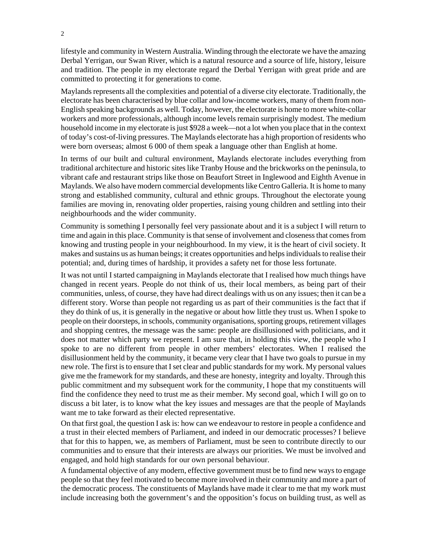lifestyle and community in Western Australia. Winding through the electorate we have the amazing Derbal Yerrigan, our Swan River, which is a natural resource and a source of life, history, leisure and tradition. The people in my electorate regard the Derbal Yerrigan with great pride and are committed to protecting it for generations to come.

Maylands represents all the complexities and potential of a diverse city electorate. Traditionally, the electorate has been characterised by blue collar and low-income workers, many of them from non-English speaking backgrounds as well. Today, however, the electorate is home to more white-collar workers and more professionals, although income levels remain surprisingly modest. The medium household income in my electorate is just \$928 a week—not a lot when you place that in the context of today's cost-of-living pressures. The Maylands electorate has a high proportion of residents who were born overseas; almost 6 000 of them speak a language other than English at home.

In terms of our built and cultural environment, Maylands electorate includes everything from traditional architecture and historic sites like Tranby House and the brickworks on the peninsula, to vibrant cafe and restaurant strips like those on Beaufort Street in Inglewood and Eighth Avenue in Maylands. We also have modern commercial developments like Centro Galleria. It is home to many strong and established community, cultural and ethnic groups. Throughout the electorate young families are moving in, renovating older properties, raising young children and settling into their neighbourhoods and the wider community.

Community is something I personally feel very passionate about and it is a subject I will return to time and again in this place. Community is that sense of involvement and closeness that comes from knowing and trusting people in your neighbourhood. In my view, it is the heart of civil society. It makes and sustains us as human beings; it creates opportunities and helps individuals to realise their potential; and, during times of hardship, it provides a safety net for those less fortunate.

It was not until I started campaigning in Maylands electorate that I realised how much things have changed in recent years. People do not think of us, their local members, as being part of their communities, unless, of course, they have had direct dealings with us on any issues; then it can be a different story. Worse than people not regarding us as part of their communities is the fact that if they do think of us, it is generally in the negative or about how little they trust us. When I spoke to people on their doorsteps, in schools, community organisations, sporting groups, retirement villages and shopping centres, the message was the same: people are disillusioned with politicians, and it does not matter which party we represent. I am sure that, in holding this view, the people who I spoke to are no different from people in other members' electorates. When I realised the disillusionment held by the community, it became very clear that I have two goals to pursue in my new role. The first is to ensure that I set clear and public standards for my work. My personal values give me the framework for my standards, and these are honesty, integrity and loyalty. Through this public commitment and my subsequent work for the community, I hope that my constituents will find the confidence they need to trust me as their member. My second goal, which I will go on to discuss a bit later, is to know what the key issues and messages are that the people of Maylands want me to take forward as their elected representative.

On that first goal, the question I ask is: how can we endeavour to restore in people a confidence and a trust in their elected members of Parliament, and indeed in our democratic processes? I believe that for this to happen, we, as members of Parliament, must be seen to contribute directly to our communities and to ensure that their interests are always our priorities. We must be involved and engaged, and hold high standards for our own personal behaviour.

A fundamental objective of any modern, effective government must be to find new ways to engage people so that they feel motivated to become more involved in their community and more a part of the democratic process. The constituents of Maylands have made it clear to me that my work must include increasing both the government's and the opposition's focus on building trust, as well as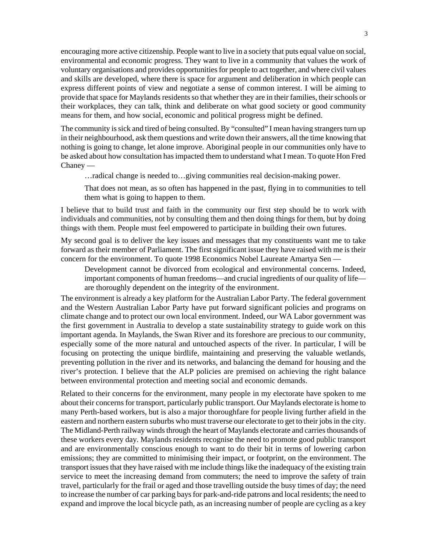encouraging more active citizenship. People want to live in a society that puts equal value on social, environmental and economic progress. They want to live in a community that values the work of voluntary organisations and provides opportunities for people to act together, and where civil values and skills are developed, where there is space for argument and deliberation in which people can express different points of view and negotiate a sense of common interest. I will be aiming to provide that space for Maylands residents so that whether they are in their families, their schools or their workplaces, they can talk, think and deliberate on what good society or good community means for them, and how social, economic and political progress might be defined.

The community is sick and tired of being consulted. By "consulted" I mean having strangers turn up in their neighbourhood, ask them questions and write down their answers, all the time knowing that nothing is going to change, let alone improve. Aboriginal people in our communities only have to be asked about how consultation has impacted them to understand what I mean. To quote Hon Fred Chaney —

…radical change is needed to…giving communities real decision-making power.

That does not mean, as so often has happened in the past, flying in to communities to tell them what is going to happen to them.

I believe that to build trust and faith in the community our first step should be to work with individuals and communities, not by consulting them and then doing things for them, but by doing things with them. People must feel empowered to participate in building their own futures.

My second goal is to deliver the key issues and messages that my constituents want me to take forward as their member of Parliament. The first significant issue they have raised with me is their concern for the environment. To quote 1998 Economics Nobel Laureate Amartya Sen —

Development cannot be divorced from ecological and environmental concerns. Indeed, important components of human freedoms—and crucial ingredients of our quality of life are thoroughly dependent on the integrity of the environment.

The environment is already a key platform for the Australian Labor Party. The federal government and the Western Australian Labor Party have put forward significant policies and programs on climate change and to protect our own local environment. Indeed, our WA Labor government was the first government in Australia to develop a state sustainability strategy to guide work on this important agenda. In Maylands, the Swan River and its foreshore are precious to our community, especially some of the more natural and untouched aspects of the river. In particular, I will be focusing on protecting the unique birdlife, maintaining and preserving the valuable wetlands, preventing pollution in the river and its networks, and balancing the demand for housing and the river's protection. I believe that the ALP policies are premised on achieving the right balance between environmental protection and meeting social and economic demands.

Related to their concerns for the environment, many people in my electorate have spoken to me about their concerns for transport, particularly public transport. Our Maylands electorate is home to many Perth-based workers, but is also a major thoroughfare for people living further afield in the eastern and northern eastern suburbs who must traverse our electorate to get to their jobs in the city. The Midland-Perth railway winds through the heart of Maylands electorate and carries thousands of these workers every day. Maylands residents recognise the need to promote good public transport and are environmentally conscious enough to want to do their bit in terms of lowering carbon emissions; they are committed to minimising their impact, or footprint, on the environment. The transport issues that they have raised with me include things like the inadequacy of the existing train service to meet the increasing demand from commuters; the need to improve the safety of train travel, particularly for the frail or aged and those travelling outside the busy times of day; the need to increase the number of car parking bays for park-and-ride patrons and local residents; the need to expand and improve the local bicycle path, as an increasing number of people are cycling as a key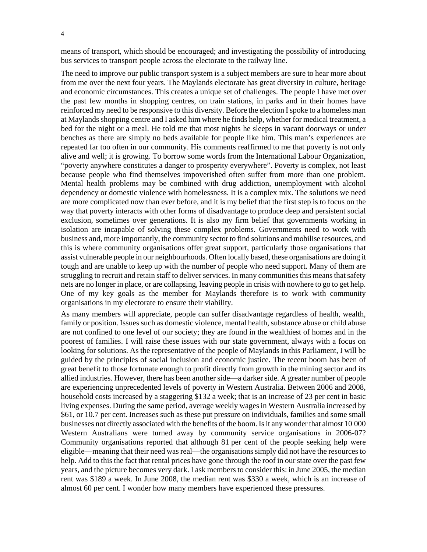means of transport, which should be encouraged; and investigating the possibility of introducing bus services to transport people across the electorate to the railway line.

The need to improve our public transport system is a subject members are sure to hear more about from me over the next four years. The Maylands electorate has great diversity in culture, heritage and economic circumstances. This creates a unique set of challenges. The people I have met over the past few months in shopping centres, on train stations, in parks and in their homes have reinforced my need to be responsive to this diversity. Before the election I spoke to a homeless man at Maylands shopping centre and I asked him where he finds help, whether for medical treatment, a bed for the night or a meal. He told me that most nights he sleeps in vacant doorways or under benches as there are simply no beds available for people like him. This man's experiences are repeated far too often in our community. His comments reaffirmed to me that poverty is not only alive and well; it is growing. To borrow some words from the International Labour Organization, "poverty anywhere constitutes a danger to prosperity everywhere". Poverty is complex, not least because people who find themselves impoverished often suffer from more than one problem. Mental health problems may be combined with drug addiction, unemployment with alcohol dependency or domestic violence with homelessness. It is a complex mix. The solutions we need are more complicated now than ever before, and it is my belief that the first step is to focus on the way that poverty interacts with other forms of disadvantage to produce deep and persistent social exclusion, sometimes over generations. It is also my firm belief that governments working in isolation are incapable of solving these complex problems. Governments need to work with business and, more importantly, the community sector to find solutions and mobilise resources, and this is where community organisations offer great support, particularly those organisations that assist vulnerable people in our neighbourhoods. Often locally based, these organisations are doing it tough and are unable to keep up with the number of people who need support. Many of them are struggling to recruit and retain staff to deliver services. In many communities this means that safety nets are no longer in place, or are collapsing, leaving people in crisis with nowhere to go to get help. One of my key goals as the member for Maylands therefore is to work with community organisations in my electorate to ensure their viability.

As many members will appreciate, people can suffer disadvantage regardless of health, wealth, family or position. Issues such as domestic violence, mental health, substance abuse or child abuse are not confined to one level of our society; they are found in the wealthiest of homes and in the poorest of families. I will raise these issues with our state government, always with a focus on looking for solutions. As the representative of the people of Maylands in this Parliament, I will be guided by the principles of social inclusion and economic justice. The recent boom has been of great benefit to those fortunate enough to profit directly from growth in the mining sector and its allied industries. However, there has been another side—a darker side. A greater number of people are experiencing unprecedented levels of poverty in Western Australia. Between 2006 and 2008, household costs increased by a staggering \$132 a week; that is an increase of 23 per cent in basic living expenses. During the same period, average weekly wages in Western Australia increased by \$61, or 10.7 per cent. Increases such as these put pressure on individuals, families and some small businesses not directly associated with the benefits of the boom. Is it any wonder that almost 10 000 Western Australians were turned away by community service organisations in 2006-07? Community organisations reported that although 81 per cent of the people seeking help were eligible—meaning that their need was real—the organisations simply did not have the resources to help. Add to this the fact that rental prices have gone through the roof in our state over the past few years, and the picture becomes very dark. I ask members to consider this: in June 2005, the median rent was \$189 a week. In June 2008, the median rent was \$330 a week, which is an increase of almost 60 per cent. I wonder how many members have experienced these pressures.